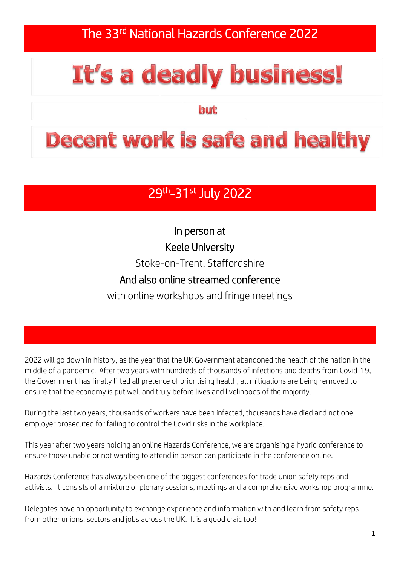The 33<sup>rd</sup> National Hazards Conference 2022

# It's a deadly business!

but

## **Decent work is safe and healthy**

### 29<sup>th</sup>-31<sup>st</sup> July 2022

In person at Keele University Stoke-on-Trent, Staffordshire

#### And also online streamed conference

with online workshops and fringe meetings

2022 will go down in history, as the year that the UK Government abandoned the health of the nation in the middle of a pandemic. After two years with hundreds of thousands of infections and deaths from Covid-19, the Government has finally lifted all pretence of prioritising health, all mitigations are being removed to ensure that the economy is put well and truly before lives and livelihoods of the majority.

During the last two years, thousands of workers have been infected, thousands have died and not one employer prosecuted for failing to control the Covid risks in the workplace.

This year after two years holding an online Hazards Conference, we are organising a hybrid conference to ensure those unable or not wanting to attend in person can participate in the conference online.

Hazards Conference has always been one of the biggest conferences for trade union safety reps and activists. It consists of a mixture of plenary sessions, meetings and a comprehensive workshop programme.

Delegates have an opportunity to exchange experience and information with and learn from safety reps from other unions, sectors and jobs across the UK. It is a good craic too!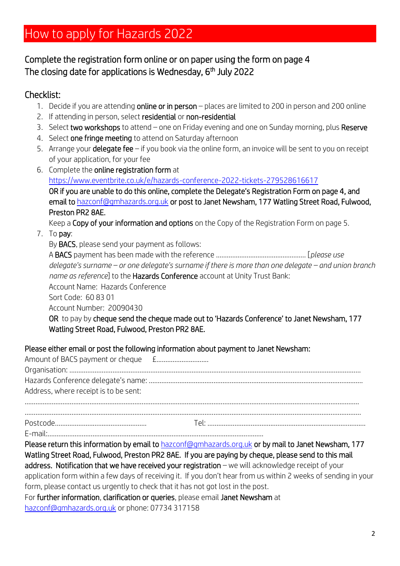## How to apply for Hazards 2022

#### Complete the registration form online or on paper using the form on page 4 The closing date for applications is Wednesday, 6<sup>th</sup> July 2022

#### Checklist:

- 1. Decide if you are attending online or in person places are limited to 200 in person and 200 online
- 2. If attending in person, select residential or non-residential
- 3. Select two workshops to attend one on Friday evening and one on Sunday morning, plus Reserve
- 4. Select one fringe meeting to attend on Saturday afternoon
- 5. Arrange your delegate fee if you book via the online form, an invoice will be sent to you on receipt of your application, for your fee
- 6. Complete the online registration form at <https://www.eventbrite.co.uk/e/hazards-conference-2022-tickets-279528616617> OR if you are unable to do this online, complete the Delegate's Registration Form on page 4, and email t[o hazconf@gmhazards.org.uk](mailto:hazconf@gmhazards.org.uk) or post to Janet Newsham, 177 Watling Street Road, Fulwood, Preston PR2 8AE.

Keep a Copy of your information and options on the Copy of the Registration Form on page 5.

- 7. To pay:
	- By BACS, please send your payment as follows:

A BACS payment has been made with the reference ………………………………………….. [*please use delegate's surname – or one delegate's surname if there is more than one delegate – and union branch name as reference*] to the Hazards Conference account at Unity Trust Bank: Account Name: Hazards Conference Sort Code: 60 83 01

Account Number: 20090430

OR to pay by cheque send the cheque made out to 'Hazards Conference' to Janet Newsham, 177 Watling Street Road, Fulwood, Preston PR2 8AE.

#### Please either email or post the following information about payment to Janet Newsham:

| Address, where receipt is to be sent: |  |
|---------------------------------------|--|
|                                       |  |
|                                       |  |
|                                       |  |

- E-mail:………………………………………………………………………………………………………...
- 

Please return this information by email t[o hazconf@gmhazards.org.uk](mailto:hazconf@gmhazards.org.uk) or by mail to Janet Newsham, 177 Watling Street Road, Fulwood, Preston PR2 8AE. If you are paying by cheque, please send to this mail address. Notification that we have received your registration – we will acknowledge receipt of your application form within a few days of receiving it. If you don't hear from us within 2 weeks of sending in your

form, please contact us urgently to check that it has not got lost in the post.

For further information, clarification or queries, please email Janet Newsham at [hazconf@gmhazards.org.uk](mailto:hazconf@gmhazards.org.uk) or phone: 07734 317158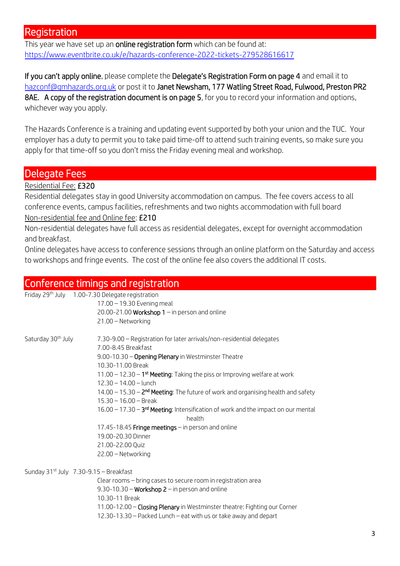#### Registration

This year we have set up an **online registration form** which can be found at: <https://www.eventbrite.co.uk/e/hazards-conference-2022-tickets-279528616617>

If you can't apply online, please complete the Delegate's Registration Form on page 4 and email it to [hazconf@gmhazards.org.uk](mailto:hazconf@gmhazards.org.uk) or post it to Janet Newsham, 177 Watling Street Road, Fulwood, Preston PR2 8AE. A copy of the registration document is on page 5, for you to record your information and options, whichever way you apply.

The Hazards Conference is a training and updating event supported by both your union and the TUC. Your employer has a duty to permit you to take paid time-off to attend such training events, so make sure you apply for that time-off so you don't miss the Friday evening meal and workshop.

#### Delegate Fees

Residential Fee: £320

Residential delegates stay in good University accommodation on campus. The fee covers access to all conference events, campus facilities, refreshments and two nights accommodation with full board Non-residential fee and Online fee: £210

Non-residential delegates have full access as residential delegates, except for overnight accommodation and breakfast.

Online delegates have access to conference sessions through an online platform on the Saturday and access to workshops and fringe events. The cost of the online fee also covers the additional IT costs.

#### Conference timings and registration

| Friday 29 <sup>th</sup> July 1.00-7.30 Delegate registration<br>17.00 - 19.30 Evening meal              |  |
|---------------------------------------------------------------------------------------------------------|--|
|                                                                                                         |  |
|                                                                                                         |  |
| 20.00-21.00 Workshop $1 -$ in person and online                                                         |  |
| 21.00 - Networking                                                                                      |  |
| Saturday 30 <sup>th</sup> July<br>7.30-9.00 - Registration for later arrivals/non-residential delegates |  |
| 7.00-8.45 Breakfast                                                                                     |  |
| 9.00-10.30 - Opening Plenary in Westminster Theatre                                                     |  |
| 10.30-11.00 Break                                                                                       |  |
| 11.00 – 12.30 – $1st$ Meeting: Taking the piss or Improving welfare at work                             |  |
| $12.30 - 14.00 -$ lunch                                                                                 |  |
| $14.00 - 15.30 - 2nd Meeting: The future of work and organizing health and safety$                      |  |
| $15.30 - 16.00 - 0$                                                                                     |  |
| $16.00 - 17.30 - 3rd Meeting: Intensification of work and the impact on our mental$<br>health           |  |
| 17.45-18.45 Fringe meetings - in person and online                                                      |  |
| 19.00-20.30 Dinner                                                                                      |  |
| 21.00-22.00 Quiz                                                                                        |  |
| 22.00 - Networking                                                                                      |  |
| Sunday $31^{st}$ July $7.30-9.15$ - Breakfast                                                           |  |
| Clear rooms - bring cases to secure room in registration area                                           |  |
| 9.30-10.30 – Workshop $2$ – in person and online                                                        |  |
| 10.30-11 Break                                                                                          |  |
| 11.00-12.00 - Closing Plenary in Westminster theatre: Fighting our Corner                               |  |
| 12.30-13.30 - Packed Lunch - eat with us or take away and depart                                        |  |
|                                                                                                         |  |
|                                                                                                         |  |
|                                                                                                         |  |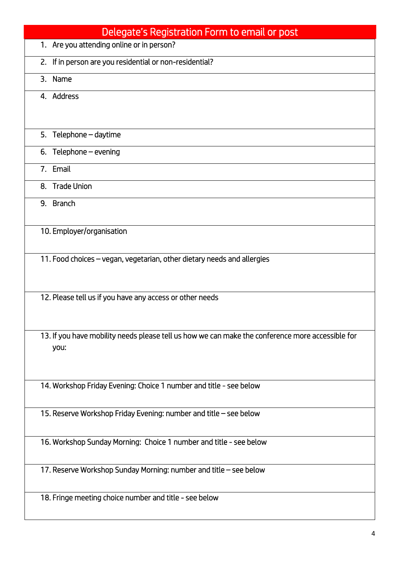| Delegate's Registration Form to email or post                                                    |
|--------------------------------------------------------------------------------------------------|
| 1. Are you attending online or in person?                                                        |
| 2. If in person are you residential or non-residential?                                          |
| 3. Name                                                                                          |
| 4. Address                                                                                       |
|                                                                                                  |
| 5. Telephone - daytime                                                                           |
| 6. Telephone $-$ evening                                                                         |
| 7. Email                                                                                         |
| 8. Trade Union                                                                                   |
| 9. Branch                                                                                        |
|                                                                                                  |
| 10. Employer/organisation                                                                        |
| 11. Food choices – vegan, vegetarian, other dietary needs and allergies                          |
|                                                                                                  |
|                                                                                                  |
| 12. Please tell us if you have any access or other needs                                         |
|                                                                                                  |
| 13. If you have mobility needs please tell us how we can make the conference more accessible for |
| you:                                                                                             |
|                                                                                                  |
| 14. Workshop Friday Evening: Choice 1 number and title - see below                               |
|                                                                                                  |
| 15. Reserve Workshop Friday Evening: number and title - see below                                |
| 16. Workshop Sunday Morning: Choice 1 number and title - see below                               |
|                                                                                                  |
| 17. Reserve Workshop Sunday Morning: number and title - see below                                |
|                                                                                                  |
| 18. Fringe meeting choice number and title - see below                                           |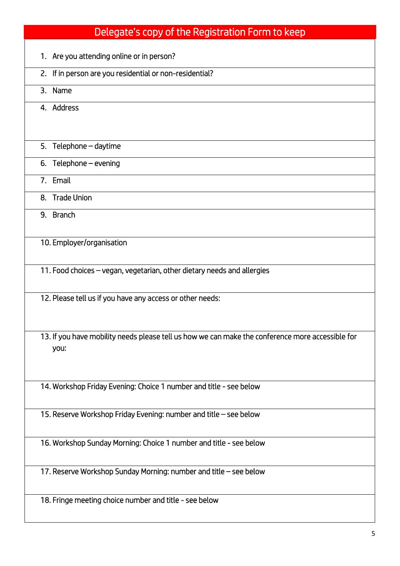| 1. Are you attending online or in person?<br>2. If in person are you residential or non-residential?<br>3. Name<br>4. Address<br>5. Telephone - daytime<br>6. Telephone $-$ evening<br>7. Email<br>8. Trade Union |
|-------------------------------------------------------------------------------------------------------------------------------------------------------------------------------------------------------------------|
|                                                                                                                                                                                                                   |
|                                                                                                                                                                                                                   |
|                                                                                                                                                                                                                   |
|                                                                                                                                                                                                                   |
|                                                                                                                                                                                                                   |
|                                                                                                                                                                                                                   |
|                                                                                                                                                                                                                   |
|                                                                                                                                                                                                                   |
|                                                                                                                                                                                                                   |
| 9. Branch                                                                                                                                                                                                         |
| 10. Employer/organisation                                                                                                                                                                                         |
| 11. Food choices – vegan, vegetarian, other dietary needs and allergies                                                                                                                                           |
| 12. Please tell us if you have any access or other needs:                                                                                                                                                         |
| 13. If you have mobility needs please tell us how we can make the conference more accessible for<br>you:                                                                                                          |
| 14. Workshop Friday Evening: Choice 1 number and title - see below                                                                                                                                                |
| 15. Reserve Workshop Friday Evening: number and title - see below                                                                                                                                                 |
| 16. Workshop Sunday Morning: Choice 1 number and title - see below                                                                                                                                                |
| 17. Reserve Workshop Sunday Morning: number and title - see below                                                                                                                                                 |
| 18. Fringe meeting choice number and title - see below                                                                                                                                                            |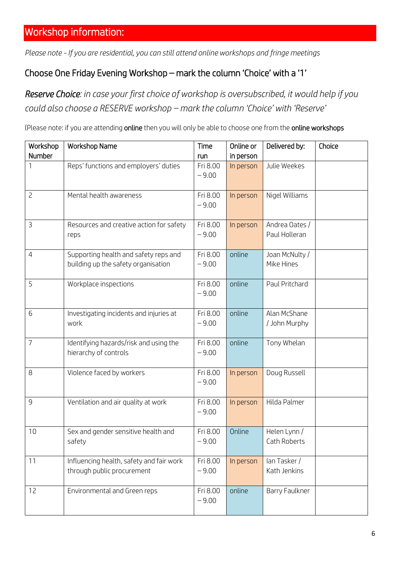*Please note - If you are residential, you can still attend online workshops and fringe meetings*

#### Choose One Friday Evening Workshop – mark the column 'Choice' with a '1'

*Reserve Choice: in case your first choice of workshop is oversubscribed, it would help if you could also choose a RESERVE workshop – mark the column 'Choice' with 'Reserve'*

(Please note: if you are attending online then you will only be able to choose one from the online workshops

| Workshop       | <b>Workshop Name</b>                                                         | Time                | Online or | Delivered by:                   | Choice |
|----------------|------------------------------------------------------------------------------|---------------------|-----------|---------------------------------|--------|
| Number         |                                                                              | run                 | in person |                                 |        |
| 1              | Reps' functions and employers' duties                                        | Fri 8.00<br>$-9.00$ | In person | Julie Weekes                    |        |
| $\overline{c}$ | Mental health awareness                                                      | Fri 8.00<br>$-9.00$ | In person | Nigel Williams                  |        |
| $\overline{3}$ | Resources and creative action for safety<br>reps                             | Fri 8.00<br>$-9.00$ | In person | Andrea Oates /<br>Paul Holleran |        |
| $\overline{4}$ | Supporting health and safety reps and<br>building up the safety organisation | Fri 8.00<br>$-9.00$ | online    | Joan McNulty /<br>Mike Hines    |        |
| 5              | Workplace inspections                                                        | Fri 8.00<br>$-9.00$ | online    | Paul Pritchard                  |        |
| 6              | Investigating incidents and injuries at<br>work                              | Fri 8.00<br>$-9.00$ | online    | Alan McShane<br>/ John Murphy   |        |
| $\overline{7}$ | Identifying hazards/risk and using the<br>hierarchy of controls              | Fri 8.00<br>$-9.00$ | online    | Tony Whelan                     |        |
| 8              | Violence faced by workers                                                    | Fri 8.00<br>$-9.00$ | In person | Doug Russell                    |        |
| $\overline{9}$ | Ventilation and air quality at work                                          | Fri 8.00<br>$-9.00$ | In person | Hilda Palmer                    |        |
| 10             | Sex and gender sensitive health and<br>safety                                | Fri 8.00<br>$-9.00$ | Online    | Helen Lynn /<br>Cath Roberts    |        |
| 11             | Influencing health, safety and fair work<br>through public procurement       | Fri 8.00<br>$-9.00$ | In person | lan Tasker /<br>Kath Jenkins    |        |
| 12             | Environmental and Green reps                                                 | Fri 8.00<br>$-9.00$ | online    | Barry Faulkner                  |        |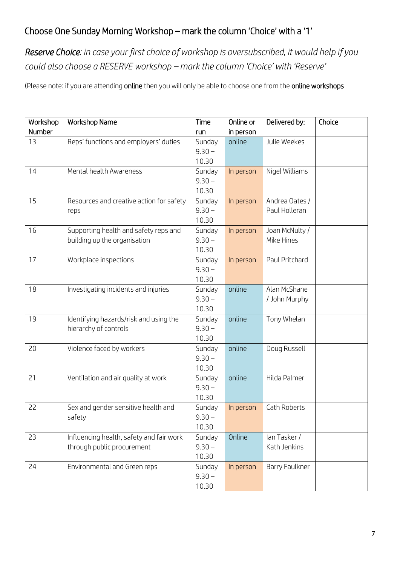#### Choose One Sunday Morning Workshop – mark the column 'Choice' with a '1'

*Reserve Choice: in case your first choice of workshop is oversubscribed, it would help if you could also choose a RESERVE workshop – mark the column 'Choice' with 'Reserve'*

(Please note: if you are attending online then you will only be able to choose one from the online workshops

| Workshop | <b>Workshop Name</b>                                                   | Time                        | Online or | Delivered by:                   | Choice |
|----------|------------------------------------------------------------------------|-----------------------------|-----------|---------------------------------|--------|
| Number   |                                                                        | run                         | in person |                                 |        |
| 13       | Reps' functions and employers' duties                                  | Sunday<br>$9.30 -$<br>10.30 | online    | Julie Weekes                    |        |
| 14       | Mental health Awareness                                                | Sunday<br>$9.30 -$<br>10.30 | In person | Nigel Williams                  |        |
| 15       | Resources and creative action for safety<br>reps                       | Sunday<br>$9.30 -$<br>10.30 | In person | Andrea Oates /<br>Paul Holleran |        |
| 16       | Supporting health and safety reps and<br>building up the organisation  | Sunday<br>$9.30 -$<br>10.30 | In person | Joan McNulty /<br>Mike Hines    |        |
| 17       | Workplace inspections                                                  | Sunday<br>$9.30 -$<br>10.30 | In person | Paul Pritchard                  |        |
| 18       | Investigating incidents and injuries                                   | Sunday<br>$9.30 -$<br>10.30 | online    | Alan McShane<br>/ John Murphy   |        |
| 19       | Identifying hazards/risk and using the<br>hierarchy of controls        | Sunday<br>$9.30 -$<br>10.30 | online    | Tony Whelan                     |        |
| 20       | Violence faced by workers                                              | Sunday<br>$9.30 -$<br>10.30 | online    | Doug Russell                    |        |
| 21       | Ventilation and air quality at work                                    | Sunday<br>$9.30 -$<br>10.30 | online    | Hilda Palmer                    |        |
| 22       | Sex and gender sensitive health and<br>safety                          | Sunday<br>$9.30 -$<br>10.30 | In person | Cath Roberts                    |        |
| 23       | Influencing health, safety and fair work<br>through public procurement | Sunday<br>$9.30 -$<br>10.30 | Online    | lan Tasker /<br>Kath Jenkins    |        |
| 24       | Environmental and Green reps                                           | Sunday<br>$9.30 -$<br>10.30 | In person | Barry Faulkner                  |        |